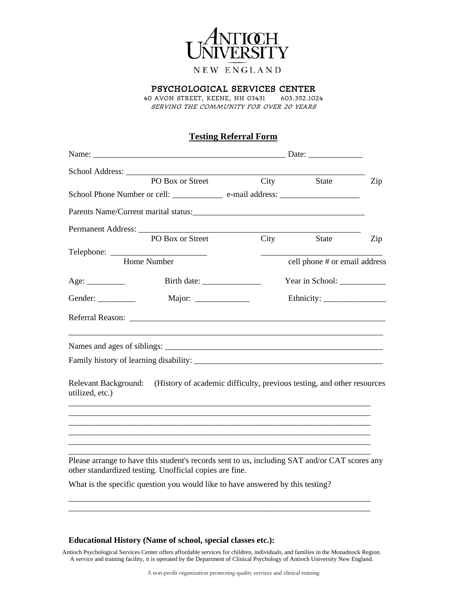

## Psychological Services Center

40 Avon Street, Keene, NH 03431 603.352.1024 Serving the community for over 20 years

## **Testing Referral Form**

|                                                | PO Box or Street                                                                                                                                                                                                                           |      | City State                                                             | Zip |
|------------------------------------------------|--------------------------------------------------------------------------------------------------------------------------------------------------------------------------------------------------------------------------------------------|------|------------------------------------------------------------------------|-----|
|                                                | School Phone Number or cell: ___________________ e-mail address: ________________                                                                                                                                                          |      |                                                                        |     |
|                                                |                                                                                                                                                                                                                                            |      |                                                                        |     |
|                                                |                                                                                                                                                                                                                                            |      |                                                                        |     |
|                                                | PO Box or Street                                                                                                                                                                                                                           | City | State                                                                  | Zip |
|                                                |                                                                                                                                                                                                                                            |      |                                                                        |     |
|                                                | Home Number                                                                                                                                                                                                                                |      | cell phone # or email address                                          |     |
|                                                |                                                                                                                                                                                                                                            |      | Year in School: ______________                                         |     |
| Gender:                                        |                                                                                                                                                                                                                                            |      |                                                                        |     |
|                                                | Referral Reason: Lawrence and Contact the Contact of the Contact of the Contact of the Contact of the Contact of the Contact of the Contact of the Contact of the Contact of the Contact of the Contact of the Contact of the              |      |                                                                        |     |
|                                                |                                                                                                                                                                                                                                            |      |                                                                        |     |
|                                                |                                                                                                                                                                                                                                            |      |                                                                        |     |
| <b>Relevant Background:</b><br>utilized, etc.) |                                                                                                                                                                                                                                            |      | (History of academic difficulty, previous testing, and other resources |     |
|                                                | Please arrange to have this student's records sent to us, including SAT and/or CAT scores any<br>other standardized testing. Unofficial copies are fine.<br>What is the specific question you would like to have answered by this testing? |      |                                                                        |     |
|                                                |                                                                                                                                                                                                                                            |      |                                                                        |     |

## **Educational History (Name of school, special classes etc.):**

Antioch Psychological Services Center offers affordable services for children, individuals, and families in the Monadnock Region. A service and training facility, it is operated by the Department of Clinical Psychology of Antioch University New England.